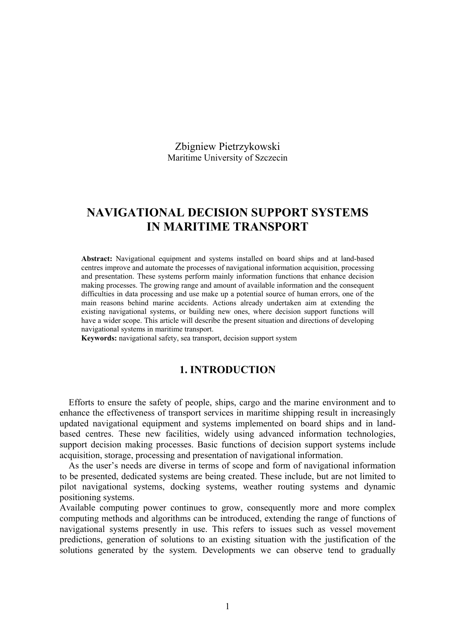Zbigniew Pietrzykowski Maritime University of Szczecin

# **NAVIGATIONAL DECISION SUPPORT SYSTEMS IN MARITIME TRANSPORT**

**Abstract:** Navigational equipment and systems installed on board ships and at land-based centres improve and automate the processes of navigational information acquisition, processing and presentation. These systems perform mainly information functions that enhance decision making processes. The growing range and amount of available information and the consequent difficulties in data processing and use make up a potential source of human errors, one of the main reasons behind marine accidents. Actions already undertaken aim at extending the existing navigational systems, or building new ones, where decision support functions will have a wider scope. This article will describe the present situation and directions of developing navigational systems in maritime transport.

**Keywords:** navigational safety, sea transport, decision support system

## **1. INTRODUCTION**

Efforts to ensure the safety of people, ships, cargo and the marine environment and to enhance the effectiveness of transport services in maritime shipping result in increasingly updated navigational equipment and systems implemented on board ships and in landbased centres. These new facilities, widely using advanced information technologies, support decision making processes. Basic functions of decision support systems include acquisition, storage, processing and presentation of navigational information.

As the user's needs are diverse in terms of scope and form of navigational information to be presented, dedicated systems are being created. These include, but are not limited to pilot navigational systems, docking systems, weather routing systems and dynamic positioning systems.

Available computing power continues to grow, consequently more and more complex computing methods and algorithms can be introduced, extending the range of functions of navigational systems presently in use. This refers to issues such as vessel movement predictions, generation of solutions to an existing situation with the justification of the solutions generated by the system. Developments we can observe tend to gradually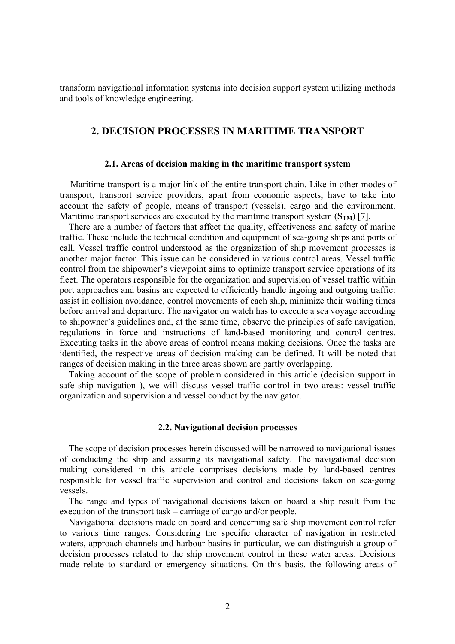transform navigational information systems into decision support system utilizing methods and tools of knowledge engineering.

# **2. DECISION PROCESSES IN MARITIME TRANSPORT**

## **2.1. Areas of decision making in the maritime transport system**

Maritime transport is a major link of the entire transport chain. Like in other modes of transport, transport service providers, apart from economic aspects, have to take into account the safety of people, means of transport (vessels), cargo and the environment. Maritime transport services are executed by the maritime transport system  $(S<sub>TM</sub>)$  [7].

There are a number of factors that affect the quality, effectiveness and safety of marine traffic. These include the technical condition and equipment of sea-going ships and ports of call. Vessel traffic control understood as the organization of ship movement processes is another major factor. This issue can be considered in various control areas. Vessel traffic control from the shipowner's viewpoint aims to optimize transport service operations of its fleet. The operators responsible for the organization and supervision of vessel traffic within port approaches and basins are expected to efficiently handle ingoing and outgoing traffic: assist in collision avoidance, control movements of each ship, minimize their waiting times before arrival and departure. The navigator on watch has to execute a sea voyage according to shipowner's guidelines and, at the same time, observe the principles of safe navigation, regulations in force and instructions of land-based monitoring and control centres. Executing tasks in the above areas of control means making decisions. Once the tasks are identified, the respective areas of decision making can be defined. It will be noted that ranges of decision making in the three areas shown are partly overlapping.

Taking account of the scope of problem considered in this article (decision support in safe ship navigation ), we will discuss vessel traffic control in two areas: vessel traffic organization and supervision and vessel conduct by the navigator.

### **2.2. Navigational decision processes**

The scope of decision processes herein discussed will be narrowed to navigational issues of conducting the ship and assuring its navigational safety. The navigational decision making considered in this article comprises decisions made by land-based centres responsible for vessel traffic supervision and control and decisions taken on sea-going vessels.

The range and types of navigational decisions taken on board a ship result from the execution of the transport task – carriage of cargo and/or people.

Navigational decisions made on board and concerning safe ship movement control refer to various time ranges. Considering the specific character of navigation in restricted waters, approach channels and harbour basins in particular, we can distinguish a group of decision processes related to the ship movement control in these water areas. Decisions made relate to standard or emergency situations. On this basis, the following areas of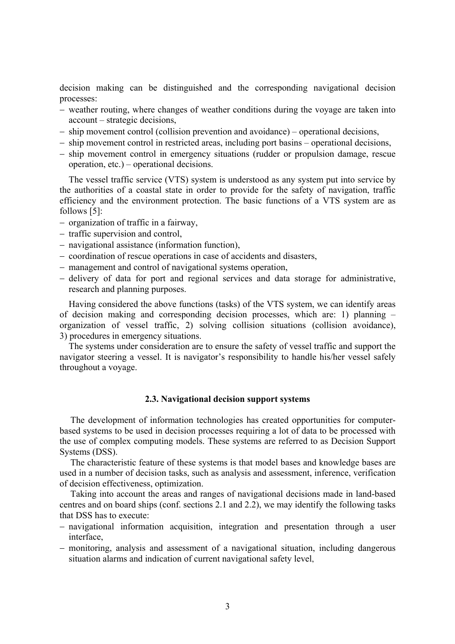decision making can be distinguished and the corresponding navigational decision processes:

- − weather routing, where changes of weather conditions during the voyage are taken into account – strategic decisions,
- − ship movement control (collision prevention and avoidance) operational decisions,
- − ship movement control in restricted areas, including port basins operational decisions,
- − ship movement control in emergency situations (rudder or propulsion damage, rescue operation, etc.) – operational decisions.

The vessel traffic service (VTS) system is understood as any system put into service by the authorities of a coastal state in order to provide for the safety of navigation, traffic efficiency and the environment protection. The basic functions of a VTS system are as follows [5]:

- − organization of traffic in a fairway,
- − traffic supervision and control,
- − navigational assistance (information function),
- − coordination of rescue operations in case of accidents and disasters,
- − management and control of navigational systems operation,
- − delivery of data for port and regional services and data storage for administrative, research and planning purposes.

Having considered the above functions (tasks) of the VTS system, we can identify areas of decision making and corresponding decision processes, which are: 1) planning – organization of vessel traffic, 2) solving collision situations (collision avoidance), 3) procedures in emergency situations.

The systems under consideration are to ensure the safety of vessel traffic and support the navigator steering a vessel. It is navigator's responsibility to handle his/her vessel safely throughout a voyage.

### **2.3. Navigational decision support systems**

The development of information technologies has created opportunities for computerbased systems to be used in decision processes requiring a lot of data to be processed with the use of complex computing models. These systems are referred to as Decision Support Systems (DSS).

The characteristic feature of these systems is that model bases and knowledge bases are used in a number of decision tasks, such as analysis and assessment, inference, verification of decision effectiveness, optimization.

Taking into account the areas and ranges of navigational decisions made in land-based centres and on board ships (conf. sections 2.1 and 2.2), we may identify the following tasks that DSS has to execute:

- − navigational information acquisition, integration and presentation through a user interface,
- − monitoring, analysis and assessment of a navigational situation, including dangerous situation alarms and indication of current navigational safety level,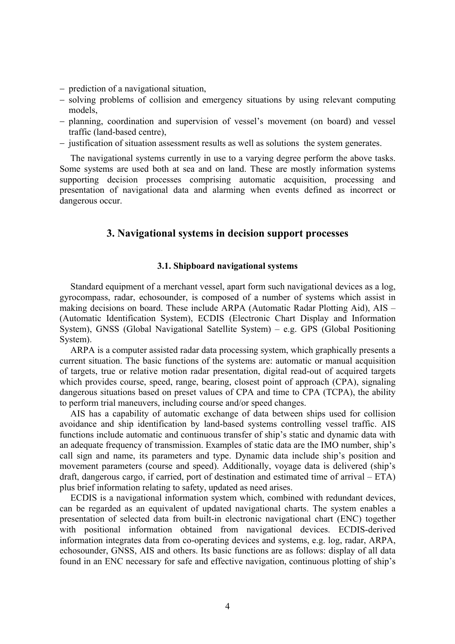- − prediction of a navigational situation,
- − solving problems of collision and emergency situations by using relevant computing models,
- − planning, coordination and supervision of vessel's movement (on board) and vessel traffic (land-based centre),
- − justification of situation assessment results as well as solutions the system generates.

The navigational systems currently in use to a varying degree perform the above tasks. Some systems are used both at sea and on land. These are mostly information systems supporting decision processes comprising automatic acquisition, processing and presentation of navigational data and alarming when events defined as incorrect or dangerous occur.

## **3. Navigational systems in decision support processes**

## **3.1. Shipboard navigational systems**

Standard equipment of a merchant vessel, apart form such navigational devices as a log, gyrocompass, radar, echosounder, is composed of a number of systems which assist in making decisions on board. These include ARPA (Automatic Radar Plotting Aid), AIS – (Automatic Identification System), ECDIS (Electronic Chart Display and Information System), GNSS (Global Navigational Satellite System) – e.g. GPS (Global Positioning System).

ARPA is a computer assisted radar data processing system, which graphically presents a current situation. The basic functions of the systems are: automatic or manual acquisition of targets, true or relative motion radar presentation, digital read-out of acquired targets which provides course, speed, range, bearing, closest point of approach (CPA), signaling dangerous situations based on preset values of CPA and time to CPA (TCPA), the ability to perform trial maneuvers, including course and/or speed changes.

AIS has a capability of automatic exchange of data between ships used for collision avoidance and ship identification by land-based systems controlling vessel traffic. AIS functions include automatic and continuous transfer of ship's static and dynamic data with an adequate frequency of transmission. Examples of static data are the IMO number, ship's call sign and name, its parameters and type. Dynamic data include ship's position and movement parameters (course and speed). Additionally, voyage data is delivered (ship's draft, dangerous cargo, if carried, port of destination and estimated time of arrival – ETA) plus brief information relating to safety, updated as need arises.

ECDIS is a navigational information system which, combined with redundant devices, can be regarded as an equivalent of updated navigational charts. The system enables a presentation of selected data from built-in electronic navigational chart (ENC) together with positional information obtained from navigational devices. ECDIS-derived information integrates data from co-operating devices and systems, e.g. log, radar, ARPA, echosounder, GNSS, AIS and others. Its basic functions are as follows: display of all data found in an ENC necessary for safe and effective navigation, continuous plotting of ship's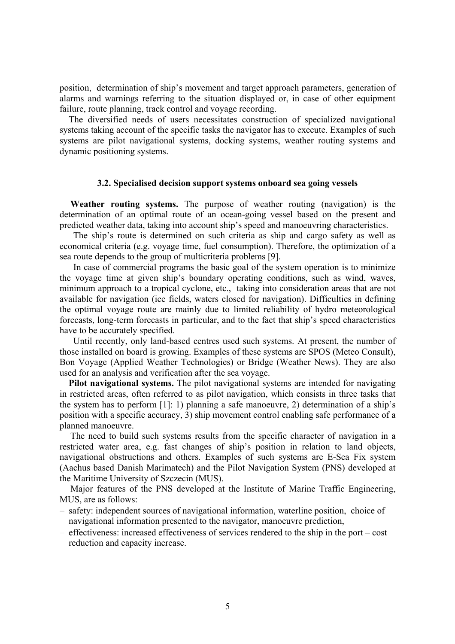position, determination of ship's movement and target approach parameters, generation of alarms and warnings referring to the situation displayed or, in case of other equipment failure, route planning, track control and voyage recording.

The diversified needs of users necessitates construction of specialized navigational systems taking account of the specific tasks the navigator has to execute. Examples of such systems are pilot navigational systems, docking systems, weather routing systems and dynamic positioning systems.

#### **3.2. Specialised decision support systems onboard sea going vessels**

**Weather routing systems.** The purpose of weather routing (navigation) is the determination of an optimal route of an ocean-going vessel based on the present and predicted weather data, taking into account ship's speed and manoeuvring characteristics.

The ship's route is determined on such criteria as ship and cargo safety as well as economical criteria (e.g. voyage time, fuel consumption). Therefore, the optimization of a sea route depends to the group of multicriteria problems [9].

In case of commercial programs the basic goal of the system operation is to minimize the voyage time at given ship's boundary operating conditions, such as wind, waves, minimum approach to a tropical cyclone, etc., taking into consideration areas that are not available for navigation (ice fields, waters closed for navigation). Difficulties in defining the optimal voyage route are mainly due to limited reliability of hydro meteorological forecasts, long-term forecasts in particular, and to the fact that ship's speed characteristics have to be accurately specified.

Until recently, only land-based centres used such systems. At present, the number of those installed on board is growing. Examples of these systems are SPOS (Meteo Consult), Bon Voyage (Applied Weather Technologies) or Bridge (Weather News). They are also used for an analysis and verification after the sea voyage.

**Pilot navigational systems.** The pilot navigational systems are intended for navigating in restricted areas, often referred to as pilot navigation, which consists in three tasks that the system has to perform [1]: 1) planning a safe manoeuvre, 2) determination of a ship's position with a specific accuracy, 3) ship movement control enabling safe performance of a planned manoeuvre.

The need to build such systems results from the specific character of navigation in a restricted water area, e.g. fast changes of ship's position in relation to land objects, navigational obstructions and others. Examples of such systems are E-Sea Fix system (Aachus based Danish Marimatech) and the Pilot Navigation System (PNS) developed at the Maritime University of Szczecin (MUS).

Major features of the PNS developed at the Institute of Marine Traffic Engineering, MUS, are as follows:

- − safety: independent sources of navigational information, waterline position, choice of navigational information presented to the navigator, manoeuvre prediction,
- − effectiveness: increased effectiveness of services rendered to the ship in the port cost reduction and capacity increase.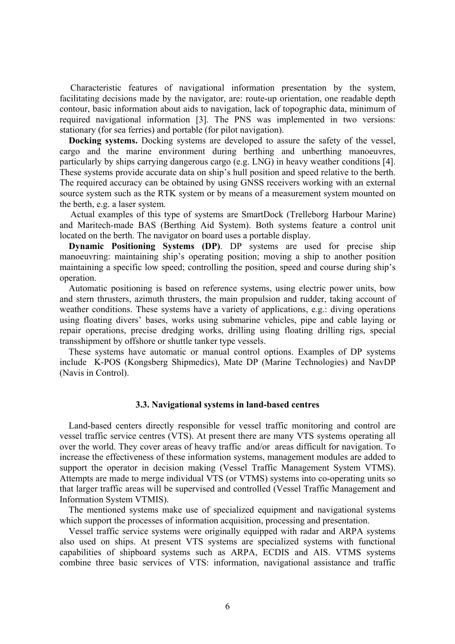Characteristic features of navigational information presentation by the system, facilitating decisions made by the navigator, are: route-up orientation, one readable depth contour, basic information about aids to navigation, lack of topographic data, minimum of required navigational information [3]. The PNS was implemented in two versions: stationary (for sea ferries) and portable (for pilot navigation).

**Docking systems.** Docking systems are developed to assure the safety of the vessel, cargo and the marine environment during berthing and unberthing manoeuvres, particularly by ships carrying dangerous cargo (e.g. LNG) in heavy weather conditions [4]. These systems provide accurate data on ship's hull position and speed relative to the berth. The required accuracy can be obtained by using GNSS receivers working with an external source system such as the RTK system or by means of a measurement system mounted on the berth, e.g. a laser system.

Actual examples of this type of systems are SmartDock (Trelleborg Harbour Marine) and Maritech-made BAS (Berthing Aid System). Both systems feature a control unit located on the berth. The navigator on board uses a portable display.

**Dynamic Positioning Systems (DP)**. DP systems are used for precise ship manoeuvring: maintaining ship's operating position; moving a ship to another position maintaining a specific low speed; controlling the position, speed and course during ship's operation.

Automatic positioning is based on reference systems, using electric power units, bow and stern thrusters, azimuth thrusters, the main propulsion and rudder, taking account of weather conditions. These systems have a variety of applications, e.g.: diving operations using floating divers' bases, works using submarine vehicles, pipe and cable laying or repair operations, precise dredging works, drilling using floating drilling rigs, special transshipment by offshore or shuttle tanker type vessels.

These systems have automatic or manual control options. Examples of DP systems include K-POS (Kongsberg Shipmedics), Mate DP (Marine Technologies) and NavDP (Navis in Control).

#### **3.3. Navigational systems in land-based centres**

Land-based centers directly responsible for vessel traffic monitoring and control are vessel traffic service centres (VTS). At present there are many VTS systems operating all over the world. They cover areas of heavy traffic and/or areas difficult for navigation. To increase the effectiveness of these information systems, management modules are added to support the operator in decision making (Vessel Traffic Management System VTMS). Attempts are made to merge individual VTS (or VTMS) systems into co-operating units so that larger traffic areas will be supervised and controlled (Vessel Traffic Management and Information System VTMIS).

The mentioned systems make use of specialized equipment and navigational systems which support the processes of information acquisition, processing and presentation.

Vessel traffic service systems were originally equipped with radar and ARPA systems also used on ships. At present VTS systems are specialized systems with functional capabilities of shipboard systems such as ARPA, ECDIS and AIS. VTMS systems combine three basic services of VTS: information, navigational assistance and traffic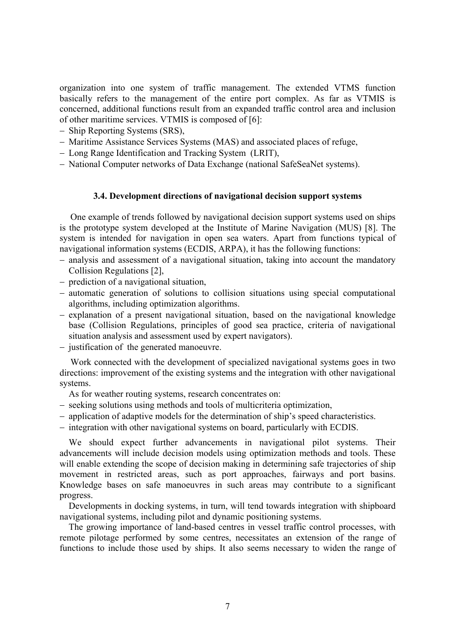organization into one system of traffic management. The extended VTMS function basically refers to the management of the entire port complex. As far as VTMIS is concerned, additional functions result from an expanded traffic control area and inclusion of other maritime services. VTMIS is composed of [6]:

- − Ship Reporting Systems (SRS),
- − Maritime Assistance Services Systems (MAS) and associated places of refuge,
- − Long Range Identification and Tracking System (LRIT),
- − National Computer networks of Data Exchange (national SafeSeaNet systems).

### **3.4. Development directions of navigational decision support systems**

One example of trends followed by navigational decision support systems used on ships is the prototype system developed at the Institute of Marine Navigation (MUS) [8]. The system is intended for navigation in open sea waters. Apart from functions typical of navigational information systems (ECDIS, ARPA), it has the following functions:

- − analysis and assessment of a navigational situation, taking into account the mandatory Collision Regulations [2],
- − prediction of a navigational situation,
- − automatic generation of solutions to collision situations using special computational algorithms, including optimization algorithms.
- − explanation of a present navigational situation, based on the navigational knowledge base (Collision Regulations, principles of good sea practice, criteria of navigational situation analysis and assessment used by expert navigators).
- − justification of the generated manoeuvre.

Work connected with the development of specialized navigational systems goes in two directions: improvement of the existing systems and the integration with other navigational systems.

As for weather routing systems, research concentrates on:

- − seeking solutions using methods and tools of multicriteria optimization,
- − application of adaptive models for the determination of ship's speed characteristics.
- − integration with other navigational systems on board, particularly with ECDIS.

We should expect further advancements in navigational pilot systems. Their advancements will include decision models using optimization methods and tools. These will enable extending the scope of decision making in determining safe trajectories of ship movement in restricted areas, such as port approaches, fairways and port basins. Knowledge bases on safe manoeuvres in such areas may contribute to a significant progress.

Developments in docking systems, in turn, will tend towards integration with shipboard navigational systems, including pilot and dynamic positioning systems.

The growing importance of land-based centres in vessel traffic control processes, with remote pilotage performed by some centres, necessitates an extension of the range of functions to include those used by ships. It also seems necessary to widen the range of